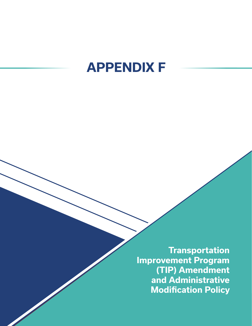# **APPENDIX F**

**Transportation Improvement Program (TIP) Amendment and Administrative Modification Policy**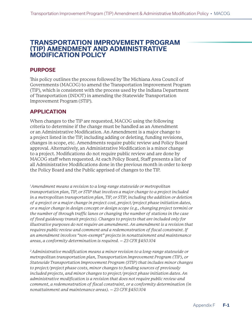## **TRANSPORTATION IMPROVEMENT PROGRAM (TIP) AMENDMENT AND ADMINISTRATIVE MODIFICATION POLICY**

#### **PURPOSE**

This policy outlines the process followed by The Michiana Area Council of Governments (MACOG) to amend the Transportation Improvement Program (TIP), which is consistent with the process used by the Indiana Department of Transportation (INDOT) in amending the Statewide Transportation Improvement Program (STIP).

#### **APPLICATION**

When changes to the TIP are requested, MACOG using the following criteria to determine if the change must be handled as an Amendment or an Administrative Modification. An Amendment is a major change to a project listed in the TIP, including adding or deleting, funding revisions, changes in scope, etc. Amendments require public review and Policy Board approval. Alternatively, an Administrative Modification is a minor change to a project. Modifications do not require public review and are done by MACOG staff when requested. At each Policy Board, Staff presents a list of all Administrative Modifications done in the previous month in order to keep the Policy Board and the Public apprised of changes to the TIP.

*1 Amendment means a revision to a long-range statewide or metropolitan transportation plan, TIP, or STIP that involves a major change to a project included in a metropolitan transportation plan, TIP, or STIP, including the addition or deletion of a project or a major change in project cost, project/project phase initiation dates, or a major change in design concept or design scope (e.g., changing project termini or the number of through traffic lanes or changing the number of stations in the case of fixed guideway transit projects). Changes to projects that are included only for illustrative purposes do not require an amendment. An amendment is a revision that requires public review and comment and a redemonstration of fiscal constraint. If an amendment involves "non-exempt" projects in nonattainment and maintenance areas, a conformity determination is required. – 23 CFR §450.104*

*2 Administrative modification means a minor revision to a long-range statewide or metropolitan transportation plan, Transportation Improvement Program (TIP), or Statewide Transportation Improvement Program (STIP) that includes minor changes to project/project phase costs, minor changes to funding sources of previously included projects, and minor changes to project/project phase initiation dates. An administrative modification is a revision that does not require public review and comment, a redemonstration of fiscal constraint, or a conformity determination (in nonattainment and maintenance areas). – 23 CFR §450.104*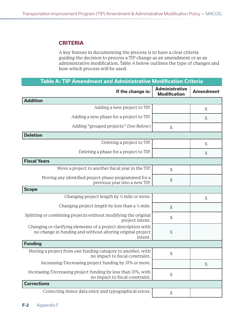#### **CRITERIA**

A key feature in documenting the process is to have a clear criteria guiding the decision to process a TIP change as an amendment or as an administrative modification. Table A below outlines the type of changes and how which process will be used.

| Table A: TIP Amendment and Administrative Modification Criteria                                                                        |                                              |                  |
|----------------------------------------------------------------------------------------------------------------------------------------|----------------------------------------------|------------------|
| If the change is:                                                                                                                      | <b>Administrative</b><br><b>Modification</b> | <b>Amendment</b> |
| <b>Addition</b>                                                                                                                        |                                              |                  |
| Adding a new project to TIP.                                                                                                           |                                              | X                |
| Adding a new phase for a project to TIP.                                                                                               |                                              | X                |
| Adding "grouped projects" (See Below)                                                                                                  | X                                            |                  |
| <b>Deletion</b>                                                                                                                        |                                              |                  |
| Deleting a project to TIP.                                                                                                             |                                              | X                |
| Deleting a phase for a project to TIP.                                                                                                 |                                              | X                |
| <b>Fiscal Years</b>                                                                                                                    |                                              |                  |
| Move a project to another fiscal year in the TIP.                                                                                      | X                                            |                  |
| Moving any identified project phase programmed for a<br>previous year into a new TIP.                                                  | X                                            |                  |
| <b>Scope</b>                                                                                                                           |                                              |                  |
| Changing project length by $\frac{1}{2}$ mile or more.                                                                                 |                                              | X                |
| Changing project length by less than a 1/2 mile.                                                                                       | X                                            |                  |
| Splitting or combining projects without modifying the original<br>project intent.                                                      | X                                            |                  |
| Changing or clarifying elements of a project description with<br>no change in funding and without altering original project<br>intent. | X                                            |                  |
| <b>Funding</b>                                                                                                                         |                                              |                  |
| Moving a project from one funding category to another, with<br>no impact to fiscal constraint.                                         | X                                            |                  |
| Increasing/Decreasing project funding by 31% or more.                                                                                  |                                              | $\mathbf X$      |
| Increasing/Decreasing project funding by less than 31%, with<br>no impact to fiscal constraint.                                        | $\mathbf X$                                  |                  |
| <b>Corrections</b>                                                                                                                     |                                              |                  |
| Correcting minor data entry and typographical errors.                                                                                  | $\mathbf X$                                  |                  |